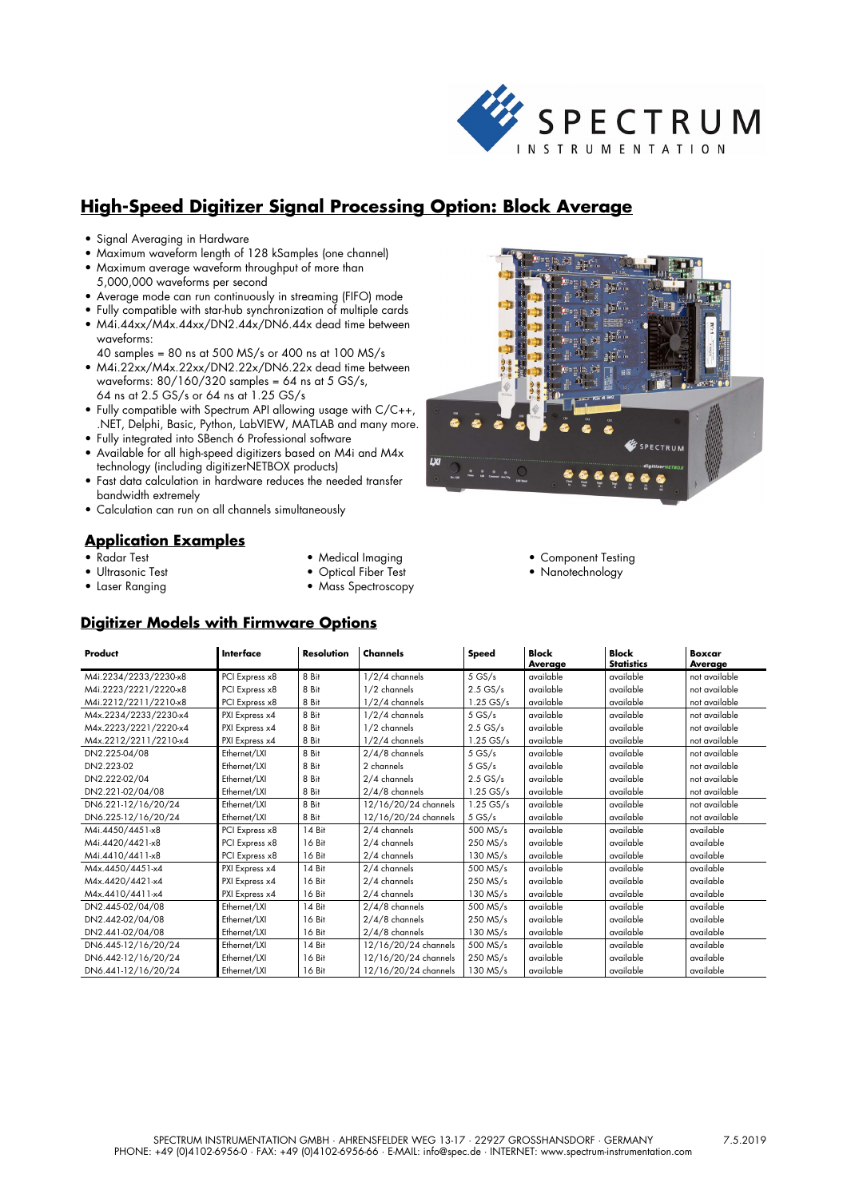

# **High-Speed Digitizer Signal Processing Option: Block Average**

- Signal Averaging in Hardware
- Maximum waveform length of 128 kSamples (one channel)
- Maximum average waveform throughput of more than 5,000,000 waveforms per second
- Average mode can run continuously in streaming (FIFO) mode
- Fully compatible with star-hub synchronization of multiple cards
- M4i.44xx/M4x.44xx/DN2.44x/DN6.44x dead time between waveforms:
- 40 samples = 80 ns at 500 MS/s or 400 ns at 100 MS/s • M4i.22xx/M4x.22xx/DN2.22x/DN6.22x dead time between
- waveforms: 80/160/320 samples = 64 ns at 5 GS/s, 64 ns at 2.5 GS/s or 64 ns at 1.25 GS/s
- Fully compatible with Spectrum API allowing usage with C/C++, .NET, Delphi, Basic, Python, LabVIEW, MATLAB and many more.
- Fully integrated into SBench 6 Professional software
- Available for all high-speed digitizers based on M4i and M4x technology (including digitizerNETBOX products)
- Fast data calculation in hardware reduces the needed transfer bandwidth extremely
- Calculation can run on all channels simultaneously

## **Application Examples**

- Radar Test
- Ultrasonic Test
- Laser Ranging
- Medical Imaging
- Optical Fiber Test
- Mass Spectroscopy

## **Digitizer Models with Firmware Options**

| <u> Digitizer Models with Firmware Options</u> |                |                   |                      |              |                         |                                   |                          |
|------------------------------------------------|----------------|-------------------|----------------------|--------------|-------------------------|-----------------------------------|--------------------------|
| Product                                        | Interface      | <b>Resolution</b> | Channels             | <b>Speed</b> | <b>Block</b><br>Average | <b>Block</b><br><b>Statistics</b> | <b>Boxcar</b><br>Average |
| M4i.2234/2233/2230-x8                          | PCI Express x8 | 8Bit              | $1/2/4$ channels     | 5GS/s        | available               | available                         | not available            |
| M4i.2223/2221/2220-x8                          | PCI Express x8 | 8 Bit             | 1/2 channels         | $2.5$ GS/s   | available               | available                         | not available            |
| M4i.2212/2211/2210-x8                          | PCI Express x8 | 8 Bit             | $1/2/4$ channels     | $1.25$ GS/s  | available               | available                         | not available            |
| M4x.2234/2233/2230-x4                          | PXI Express x4 | 8 Bit             | $1/2/4$ channels     | $5$ GS/s     | available               | available                         | not available            |
| M4x.2223/2221/2220-x4                          | PXI Express x4 | 8 Bit             | 1/2 channels         | $2.5$ GS/s   | available               | available                         | not available            |
| M4x.2212/2211/2210-x4                          | PXI Express x4 | 8 Bit             | $1/2/4$ channels     | $1.25$ GS/s  | available               | available                         | not available            |
| DN2.225-04/08                                  | Ethernet/LXI   | 8 Bit             | $2/4/8$ channels     | $5$ GS/s     | available               | available                         | not available            |
| DN2.223-02                                     | Ethernet/LXI   | 8 Bit             | 2 channels           | $5$ GS/s     | available               | available                         | not available            |
| DN2.222-02/04                                  | Ethernet/LXI   | 8 Bit             | 2/4 channels         | $2.5$ GS/s   | available               | available                         | not available            |
| DN2.221-02/04/08                               | Ethernet/LXI   | 8 Bit             | $2/4/8$ channels     | $1.25$ GS/s  | available               | available                         | not available            |
| DN6.221-12/16/20/24                            | Ethernet/LXI   | 8 Bit             | 12/16/20/24 channels | $1.25$ GS/s  | available               | available                         | not available            |
| DN6.225-12/16/20/24                            | Ethernet/LXI   | 8 Bit             | 12/16/20/24 channels | $5$ GS/s     | available               | available                         | not available            |
| M4i.4450/4451-x8                               | PCI Express x8 | 14 Bit            | 2/4 channels         | 500 MS/s     | available               | available                         | available                |
| M4i.4420/4421-x8                               | PCI Express x8 | 16 Bit            | 2/4 channels         | 250 MS/s     | available               | available                         | available                |
| M4i.4410/4411-x8                               | PCI Express x8 | 16 Bit            | 2/4 channels         | 130 MS/s     | available               | available                         | available                |
| M4x.4450/4451-x4                               | PXI Express x4 | 14 Bit            | 2/4 channels         | 500 MS/s     | available               | available                         | available                |
| M4x.4420/4421-x4                               | PXI Express x4 | 16 Bit            | 2/4 channels         | 250 MS/s     | available               | available                         | available                |
| M4x.4410/4411-x4                               | PXI Express x4 | 16 Bit            | 2/4 channels         | $130$ MS/s   | available               | available                         | available                |
| DN2.445-02/04/08                               | Ethernet/LXI   | 14 Bit            | $2/4/8$ channels     | 500 MS/s     | available               | available                         | available                |
| DN2.442-02/04/08                               | Ethernet/LXI   | 16 Bit            | $2/4/8$ channels     | 250 MS/s     | available               | available                         | available                |
| DN2.441-02/04/08                               | Ethernet/LXI   | 16 Bit            | $2/4/8$ channels     | 130 MS/s     | available               | available                         | available                |
| DN6.445-12/16/20/24                            | Ethernet/LXI   | 14 Bit            | 12/16/20/24 channels | 500 MS/s     | available               | available                         | available                |
| DN6.442-12/16/20/24                            | Ethernet/LXI   | 16 Bit            | 12/16/20/24 channels | 250 MS/s     | available               | available                         | available                |
| DN6.441-12/16/20/24                            | Ethernet/LXI   | 16 Bit            | 12/16/20/24 channels | 130 MS/s     | available               | available                         | available                |



• Component Testing

• Nanotechnology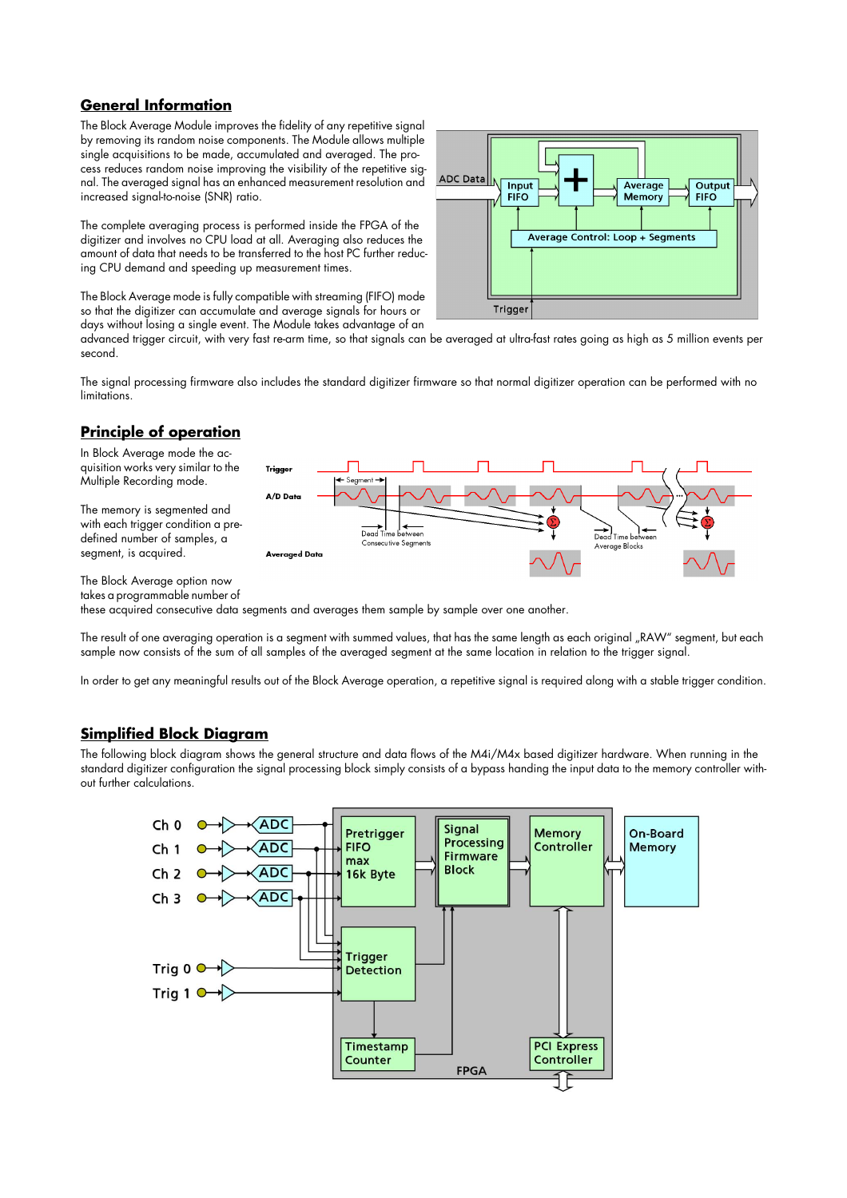## **General Information**

The Block Average Module improves the fidelity of any repetitive signal by removing its random noise components. The Module allows multiple single acquisitions to be made, accumulated and averaged. The process reduces random noise improving the visibility of the repetitive signal. The averaged signal has an enhanced measurement resolution and increased signal-to-noise (SNR) ratio.

The complete averaging process is performed inside the FPGA of the digitizer and involves no CPU load at all. Averaging also reduces the amount of data that needs to be transferred to the host PC further reducing CPU demand and speeding up measurement times.

The Block Average mode is fully compatible with streaming (FIFO) mode so that the digitizer can accumulate and average signals for hours or days without losing a single event. The Module takes advantage of an



advanced trigger circuit, with very fast re-arm time, so that signals can be averaged at ultra-fast rates going as high as 5 million events per second.

The signal processing firmware also includes the standard digitizer firmware so that normal digitizer operation can be performed with no limitations.

## **Principle of operation**

In Block Average mode the acquisition works very similar to the Multiple Recording mode.

The memory is segmented and with each trigger condition a predefined number of samples, a segment, is acquired.



The Block Average option now

takes a programmable number of

these acquired consecutive data segments and averages them sample by sample over one another.

The result of one averaging operation is a segment with summed values, that has the same length as each original "RAW" segment, but each sample now consists of the sum of all samples of the averaged segment at the same location in relation to the trigger signal.

In order to get any meaningful results out of the Block Average operation, a repetitive signal is required along with a stable trigger condition.

## **Simplified Block Diagram**

The following block diagram shows the general structure and data flows of the M4i/M4x based digitizer hardware. When running in the standard digitizer configuration the signal processing block simply consists of a bypass handing the input data to the memory controller without further calculations.

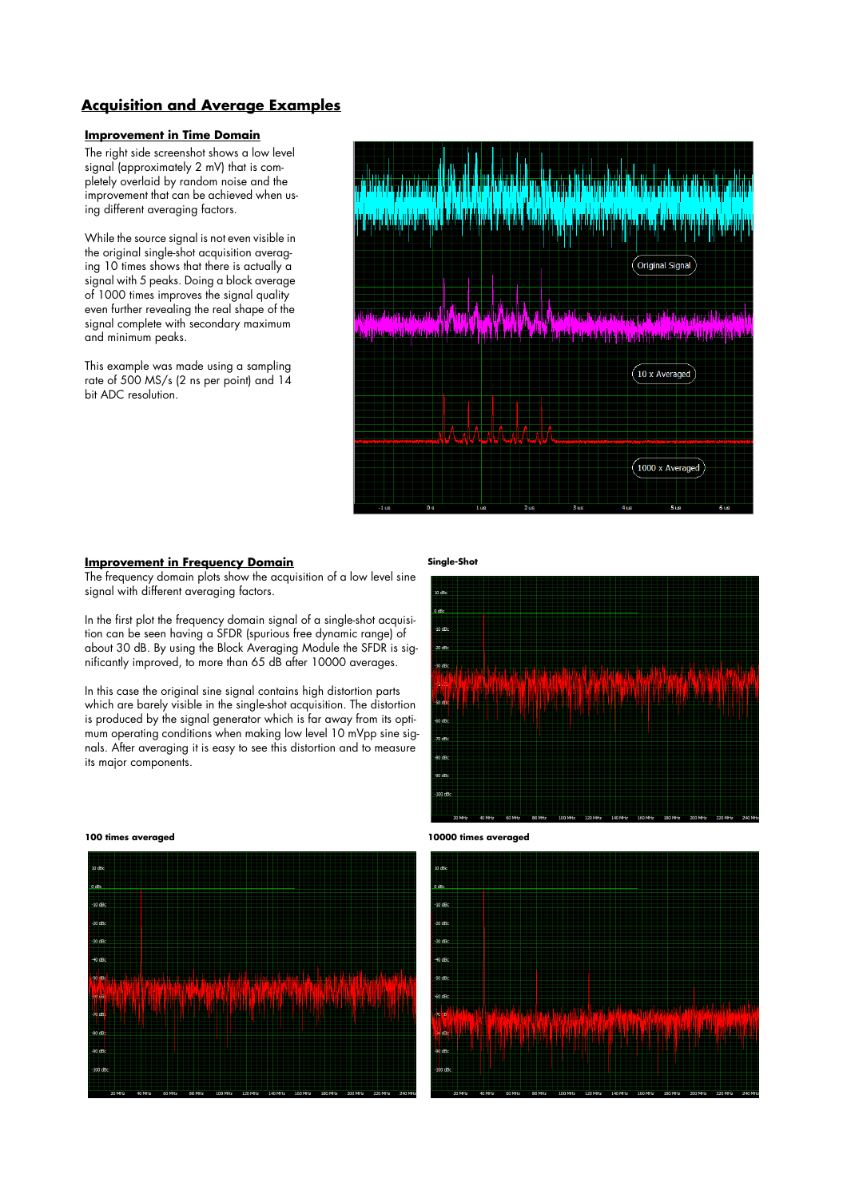## **Acquisition and Average Examples**

### **Improvement in Time Domain**

The right side screenshot shows a low level signal (approximately 2 mV) that is completely overlaid by random noise and the improvement that can be achieved when using different averaging factors.

While the source signal is not even visible in the original single-shot acquisition averaging 10 times shows that there is actually a signal with 5 peaks. Doing a block average of 1000 times improves the signal quality even further revealing the real shape of the signal complete with secondary maximum and minimum peaks.

This example was made using a sampling rate of 500 MS/s (2 ns per point) and 14 bit ADC resolution.



#### **Improvement in Frequency Domain**

The frequency domain plots show the acquisition of a low level sine signal with different averaging factors.

In the first plot the frequency domain signal of a single-shot acquisition can be seen having a SFDR (spurious free dynamic range) of about 30 dB. By using the Block Averaging Module the SFDR is significantly improved, to more than 65 dB after 10000 averages.

In this case the original sine signal contains high distortion parts which are barely visible in the single-shot acquisition. The distortion is produced by the signal generator which is far away from its optimum operating conditions when making low level 10 mVpp sine signals. After averaging it is easy to see this distortion and to measure its major components.